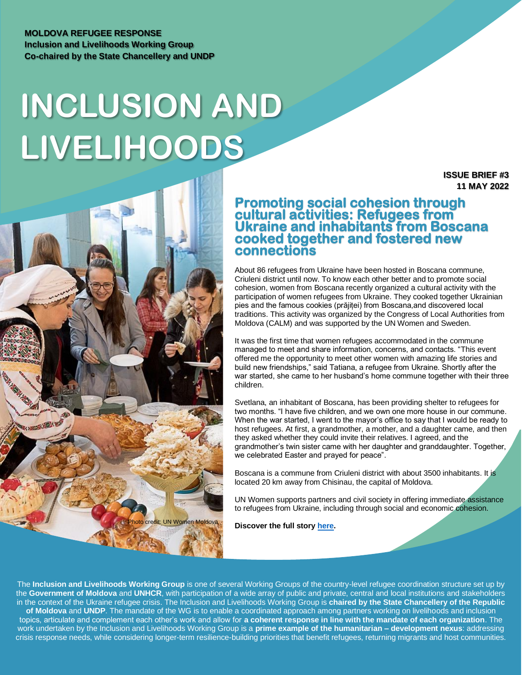## **MOLDOVA REFUGEE RESPONSE Inclusion and Livelihoods Working Group Co-chaired by the State Chancellery and UNDP**

# **INCLUSION AND LIVELIHOODS**

**ISSUE BRIEF #3 11 MAY 2022**



## **Promoting social cohesion through cultural activities: Refugees from Ukraine and inhabitants from Boscana cooked together and fostered new connections**

About 86 refugees from Ukraine have been hosted in Boscana commune, Criuleni district until now. To know each other better and to promote social cohesion, women from Boscana recently organized a cultural activity with the participation of women refugees from Ukraine. They cooked together Ukrainian pies and the famous cookies (prăjiței) from Boscana,and discovered local traditions. This activity was organized by the Congress of Local Authorities from Moldova (CALM) and was supported by the UN Women and Sweden.

It was the first time that women refugees accommodated in the commune managed to meet and share information, concerns, and contacts. "This event offered me the opportunity to meet other women with amazing life stories and build new friendships," said Tatiana, a refugee from Ukraine. Shortly after the war started, she came to her husband's home commune together with their three children.

Svetlana, an inhabitant of Boscana, has been providing shelter to refugees for two months. "I have five children, and we own one more house in our commune. When the war started, I went to the mayor's office to say that I would be ready to host refugees. At first, a grandmother, a mother, and a daughter came, and then they asked whether they could invite their relatives. I agreed, and the grandmother's twin sister came with her daughter and granddaughter. Together, we celebrated Easter and prayed for peace".

Boscana is a commune from Criuleni district with about 3500 inhabitants. It is located 20 km away from Chisinau, the capital of Moldova.

UN Women supports partners and civil society in offering immediate assistance to refugees from Ukraine, including through social and economic cohesion.

**Discover the full stor[y here.](https://eur03.safelinks.protection.outlook.com/?url=https%3A%2F%2Fmoldova.unwomen.org%2Fen%2Fstories%2Fnews%2F2022%2F05%2Fpromoting-social-cohesion-between-ukrainian-women-refugees-and-moldovan-communities&data=05%7C01%7Cioana.creitaru%40undp.org%7C85f6c235cc1e448a106b08da32980f94%7Cb3e5db5e2944483799f57488ace54319%7C0%7C0%7C637877925923124167%7CUnknown%7CTWFpbGZsb3d8eyJWIjoiMC4wLjAwMDAiLCJQIjoiV2luMzIiLCJBTiI6Ik1haWwiLCJXVCI6Mn0%3D%7C3000%7C%7C%7C&sdata=bB8CIkLQtlEaYIWWEe3KS1zYegaFFRJ%2Fbi6lqRSNkck%3D&reserved=0)**

The **Inclusion and Livelihoods Working Group** is one of several Working Groups of the country-level refugee coordination structure set up by the **Government of Moldova** and **UNHCR**, with participation of a wide array of public and private, central and local institutions and stakeholders in the context of the Ukraine refugee crisis. The Inclusion and Livelihoods Working Group is **chaired by the State Chancellery of the Republic of Moldova** and **UNDP**. The mandate of the WG is to enable a coordinated approach among partners working on livelihoods and inclusion topics, articulate and complement each other's work and allow for **a coherent response in line with the mandate of each organization**. The work undertaken by the Inclusion and Livelihoods Working Group is a **prime example of the humanitarian – development nexus**: addressing crisis response needs, while considering longer-term resilience-building priorities that benefit refugees, returning migrants and host communities.